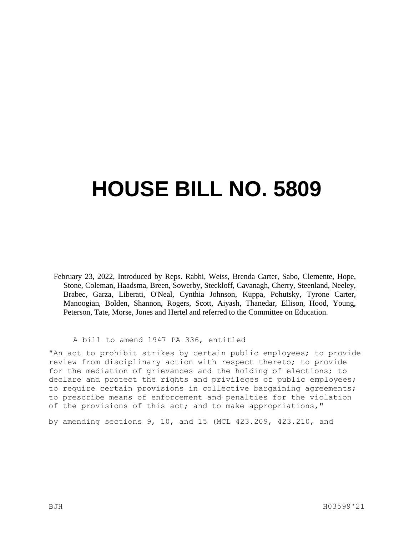## **HOUSE BILL NO. 5809**

February 23, 2022, Introduced by Reps. Rabhi, Weiss, Brenda Carter, Sabo, Clemente, Hope, Stone, Coleman, Haadsma, Breen, Sowerby, Steckloff, Cavanagh, Cherry, Steenland, Neeley, Brabec, Garza, Liberati, O'Neal, Cynthia Johnson, Kuppa, Pohutsky, Tyrone Carter, Manoogian, Bolden, Shannon, Rogers, Scott, Aiyash, Thanedar, Ellison, Hood, Young, Peterson, Tate, Morse, Jones and Hertel and referred to the Committee on Education.

A bill to amend 1947 PA 336, entitled

"An act to prohibit strikes by certain public employees; to provide review from disciplinary action with respect thereto; to provide for the mediation of grievances and the holding of elections; to declare and protect the rights and privileges of public employees; to require certain provisions in collective bargaining agreements; to prescribe means of enforcement and penalties for the violation of the provisions of this act; and to make appropriations,"

by amending sections 9, 10, and 15 (MCL 423.209, 423.210, and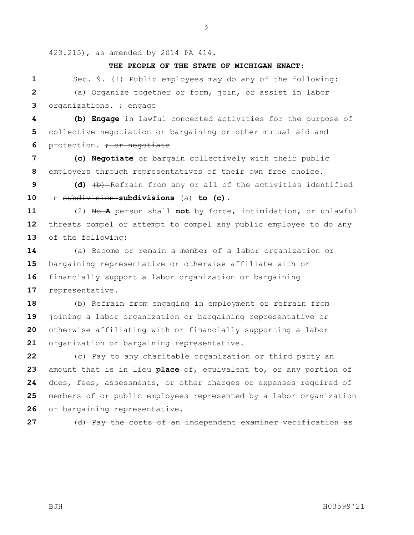423.215), as amended by 2014 PA 414.

## **THE PEOPLE OF THE STATE OF MICHIGAN ENACT:**

 Sec. 9. (1) Public employees may do any of the following: (a) Organize together or form, join, or assist in labor organizations**.** ; engage

 **(b) Engage** in lawful concerted activities for the purpose of collective negotiation or bargaining or other mutual aid and **6** protection. <del>; or negotiate</del>

 **(c) Negotiate** or bargain collectively with their public employers through representatives of their own free choice.

 **(d)** (b) Refrain from any or all of the activities identified in subdivision **subdivisions** (a) **to (c)**.

 (2) No **A** person shall **not** by force, intimidation, or unlawful threats compel or attempt to compel any public employee to do any of the following:

 (a) Become or remain a member of a labor organization or bargaining representative or otherwise affiliate with or financially support a labor organization or bargaining representative.

 (b) Refrain from engaging in employment or refrain from joining a labor organization or bargaining representative or otherwise affiliating with or financially supporting a labor organization or bargaining representative.

 (c) Pay to any charitable organization or third party an amount that is in  $\frac{1}{1}$ **eu place** of, equivalent to, or any portion of dues, fees, assessments, or other charges or expenses required of members of or public employees represented by a labor organization or bargaining representative.

(d) Pay the costs of an independent examiner verification as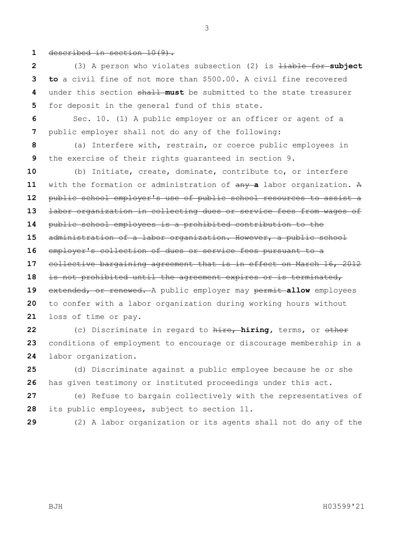described in section 10(9).

 (3) A person who violates subsection (2) is liable for **subject to** a civil fine of not more than \$500.00. A civil fine recovered under this section shall **must** be submitted to the state treasurer for deposit in the general fund of this state.

 Sec. 10. (1) A public employer or an officer or agent of a public employer shall not do any of the following:

 (a) Interfere with, restrain, or coerce public employees in the exercise of their rights guaranteed in section 9.

 (b) Initiate, create, dominate, contribute to, or interfere with the formation or administration of any **a** labor organization. A public school employer's use of public school resources to assist a labor organization in collecting dues or service fees from wages of public school employees is a prohibited contribution to the administration of a labor organization. However, a public school employer's collection of dues or service fees pursuant to a collective bargaining agreement that is in effect on March 16, 2012 is not prohibited until the agreement expires or is terminated, 19 extended, or renewed. A public employer may permit allow employees to confer with a labor organization during working hours without loss of time or pay. (c) Discriminate in regard to hire, **hiring,** terms, or other

 conditions of employment to encourage or discourage membership in a labor organization.

 (d) Discriminate against a public employee because he or she has given testimony or instituted proceedings under this act.

 (e) Refuse to bargain collectively with the representatives of its public employees, subject to section 11.

(2) A labor organization or its agents shall not do any of the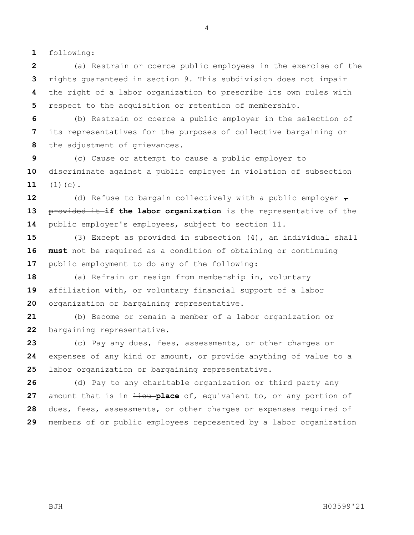following:

 (a) Restrain or coerce public employees in the exercise of the rights guaranteed in section 9. This subdivision does not impair the right of a labor organization to prescribe its own rules with respect to the acquisition or retention of membership.

 (b) Restrain or coerce a public employer in the selection of its representatives for the purposes of collective bargaining or the adjustment of grievances.

 (c) Cause or attempt to cause a public employer to discriminate against a public employee in violation of subsection (1)(c).

**12** (d) Refuse to bargain collectively with a public employer  $\tau$ 13 provided it if the labor organization is the representative of the public employer's employees, subject to section 11.

 (3) Except as provided in subsection (4), an individual shall **must** not be required as a condition of obtaining or continuing public employment to do any of the following:

 (a) Refrain or resign from membership in, voluntary affiliation with, or voluntary financial support of a labor organization or bargaining representative.

 (b) Become or remain a member of a labor organization or bargaining representative.

 (c) Pay any dues, fees, assessments, or other charges or expenses of any kind or amount, or provide anything of value to a labor organization or bargaining representative.

 (d) Pay to any charitable organization or third party any amount that is in  $\frac{1}{1}$ **eu place** of, equivalent to, or any portion of dues, fees, assessments, or other charges or expenses required of members of or public employees represented by a labor organization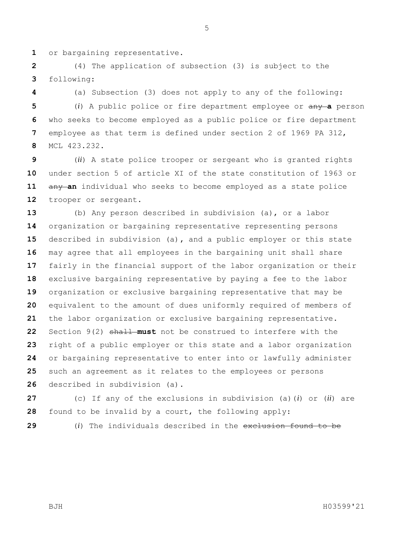or bargaining representative.

 (4) The application of subsection (3) is subject to the following:

(a) Subsection (3) does not apply to any of the following:

 (*i*) A public police or fire department employee or any **a** person who seeks to become employed as a public police or fire department employee as that term is defined under section 2 of 1969 PA 312, MCL 423.232.

 (*ii*) A state police trooper or sergeant who is granted rights under section 5 of article XI of the state constitution of 1963 or 11 any an individual who seeks to become employed as a state police trooper or sergeant.

 (b) Any person described in subdivision (a), or a labor organization or bargaining representative representing persons described in subdivision (a)**,** and a public employer or this state may agree that all employees in the bargaining unit shall share fairly in the financial support of the labor organization or their exclusive bargaining representative by paying a fee to the labor organization or exclusive bargaining representative that may be equivalent to the amount of dues uniformly required of members of the labor organization or exclusive bargaining representative. Section 9(2) shall **must** not be construed to interfere with the right of a public employer or this state and a labor organization or bargaining representative to enter into or lawfully administer such an agreement as it relates to the employees or persons described in subdivision (a).

 (c) If any of the exclusions in subdivision (a)(*i*) or (*ii*) are found to be invalid by a court, the following apply:

(*i*) The individuals described in the exclusion found to be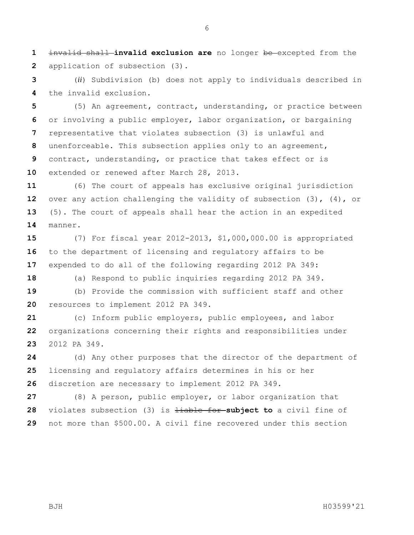invalid shall **invalid exclusion are** no longer be excepted from the application of subsection (3).

 (*ii*) Subdivision (b) does not apply to individuals described in the invalid exclusion.

 (5) An agreement, contract, understanding, or practice between or involving a public employer, labor organization, or bargaining representative that violates subsection (3) is unlawful and unenforceable. This subsection applies only to an agreement, contract, understanding, or practice that takes effect or is extended or renewed after March 28, 2013.

 (6) The court of appeals has exclusive original jurisdiction over any action challenging the validity of subsection (3), (4), or (5). The court of appeals shall hear the action in an expedited manner.

 (7) For fiscal year 2012-2013, \$1,000,000.00 is appropriated to the department of licensing and regulatory affairs to be expended to do all of the following regarding 2012 PA 349:

(a) Respond to public inquiries regarding 2012 PA 349.

 (b) Provide the commission with sufficient staff and other resources to implement 2012 PA 349.

 (c) Inform public employers, public employees, and labor organizations concerning their rights and responsibilities under 2012 PA 349.

 (d) Any other purposes that the director of the department of licensing and regulatory affairs determines in his or her discretion are necessary to implement 2012 PA 349.

 (8) A person, public employer, or labor organization that 28 violates subsection (3) is  $\frac{1}{2}$  is  $\frac{1}{2}$  is  $\frac{1}{2}$  **subject to** a civil fine of not more than \$500.00. A civil fine recovered under this section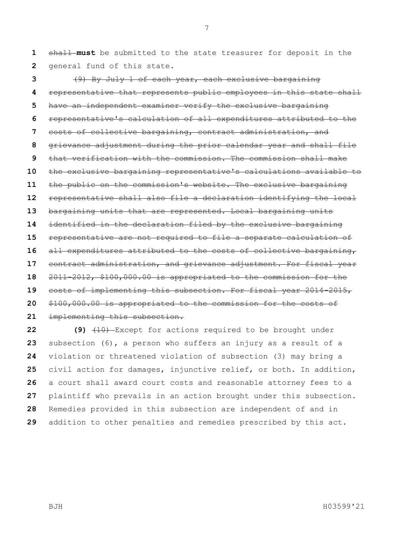shall **must** be submitted to the state treasurer for deposit in the general fund of this state.

 (9) By July 1 of each year, each exclusive bargaining representative that represents public employees in this state shall have an independent examiner verify the exclusive bargaining representative's calculation of all expenditures attributed to the costs of collective bargaining, contract administration, and grievance adjustment during the prior calendar year and shall file that verification with the commission. The commission shall make the exclusive bargaining representative's calculations available to the public on the commission's website. The exclusive bargaining representative shall also file a declaration identifying the local bargaining units that are represented. Local bargaining units identified in the declaration filed by the exclusive bargaining representative are not required to file a separate calculation of all expenditures attributed to the costs of collective bargaining, contract administration, and grievance adjustment. For fiscal year 2011-2012, \$100,000.00 is appropriated to the commission for the costs of implementing this subsection. For fiscal year 2014-2015, \$100,000.00 is appropriated to the commission for the costs of implementing this subsection.

 **(9)**  $\left(10\right)$  Except for actions required to be brought under subsection (6), a person who suffers an injury as a result of a violation or threatened violation of subsection (3) may bring a civil action for damages, injunctive relief, or both. In addition, a court shall award court costs and reasonable attorney fees to a plaintiff who prevails in an action brought under this subsection. Remedies provided in this subsection are independent of and in addition to other penalties and remedies prescribed by this act.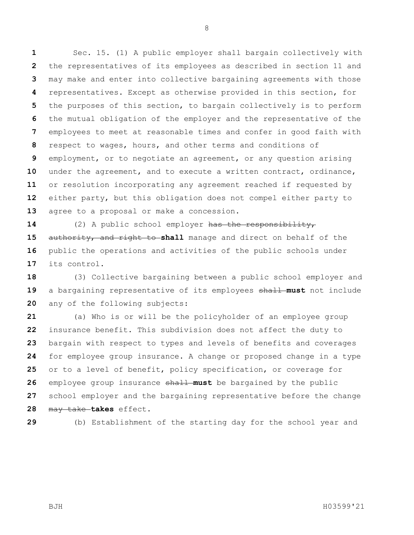Sec. 15. (1) A public employer shall bargain collectively with the representatives of its employees as described in section 11 and may make and enter into collective bargaining agreements with those representatives. Except as otherwise provided in this section, for the purposes of this section, to bargain collectively is to perform the mutual obligation of the employer and the representative of the employees to meet at reasonable times and confer in good faith with respect to wages, hours, and other terms and conditions of employment, or to negotiate an agreement, or any question arising under the agreement, and to execute a written contract, ordinance, or resolution incorporating any agreement reached if requested by either party, but this obligation does not compel either party to agree to a proposal or make a concession.

 (2) A public school employer has the responsibility, authority, and right to **shall** manage and direct on behalf of the public the operations and activities of the public schools under its control.

 (3) Collective bargaining between a public school employer and 19 a bargaining representative of its employees shall must not include any of the following subjects:

 (a) Who is or will be the policyholder of an employee group insurance benefit. This subdivision does not affect the duty to bargain with respect to types and levels of benefits and coverages for employee group insurance. A change or proposed change in a type or to a level of benefit, policy specification, or coverage for employee group insurance shall must be bargained by the public school employer and the bargaining representative before the change may take **takes** effect.

(b) Establishment of the starting day for the school year and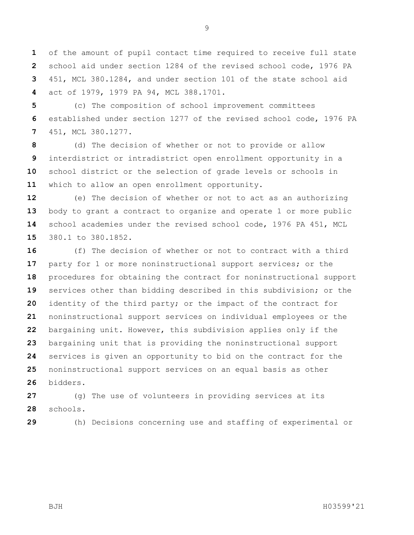of the amount of pupil contact time required to receive full state school aid under section 1284 of the revised school code, 1976 PA 451, MCL 380.1284, and under section 101 of the state school aid act of 1979, 1979 PA 94, MCL 388.1701.

 (c) The composition of school improvement committees established under section 1277 of the revised school code, 1976 PA 451, MCL 380.1277.

 (d) The decision of whether or not to provide or allow interdistrict or intradistrict open enrollment opportunity in a school district or the selection of grade levels or schools in which to allow an open enrollment opportunity.

 (e) The decision of whether or not to act as an authorizing body to grant a contract to organize and operate 1 or more public school academies under the revised school code, 1976 PA 451, MCL 380.1 to 380.1852.

 (f) The decision of whether or not to contract with a third party for 1 or more noninstructional support services; or the procedures for obtaining the contract for noninstructional support services other than bidding described in this subdivision; or the identity of the third party; or the impact of the contract for noninstructional support services on individual employees or the bargaining unit. However, this subdivision applies only if the bargaining unit that is providing the noninstructional support services is given an opportunity to bid on the contract for the noninstructional support services on an equal basis as other bidders.

 (g) The use of volunteers in providing services at its schools.

(h) Decisions concerning use and staffing of experimental or

BJH H03599'21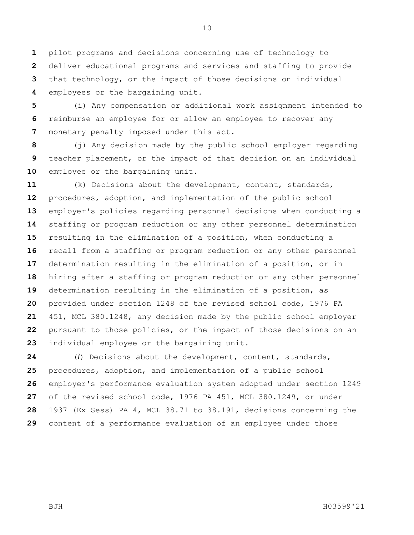pilot programs and decisions concerning use of technology to deliver educational programs and services and staffing to provide that technology, or the impact of those decisions on individual employees or the bargaining unit.

 (i) Any compensation or additional work assignment intended to reimburse an employee for or allow an employee to recover any monetary penalty imposed under this act.

 (j) Any decision made by the public school employer regarding teacher placement, or the impact of that decision on an individual 10 employee or the bargaining unit.

 (k) Decisions about the development, content, standards, procedures, adoption, and implementation of the public school employer's policies regarding personnel decisions when conducting a staffing or program reduction or any other personnel determination resulting in the elimination of a position, when conducting a recall from a staffing or program reduction or any other personnel determination resulting in the elimination of a position, or in hiring after a staffing or program reduction or any other personnel determination resulting in the elimination of a position, as provided under section 1248 of the revised school code, 1976 PA 451, MCL 380.1248, any decision made by the public school employer pursuant to those policies, or the impact of those decisions on an individual employee or the bargaining unit.

 (*l*) Decisions about the development, content, standards, procedures, adoption, and implementation of a public school employer's performance evaluation system adopted under section 1249 of the revised school code, 1976 PA 451, MCL 380.1249, or under 1937 (Ex Sess) PA 4, MCL 38.71 to 38.191, decisions concerning the content of a performance evaluation of an employee under those

BJH H03599'21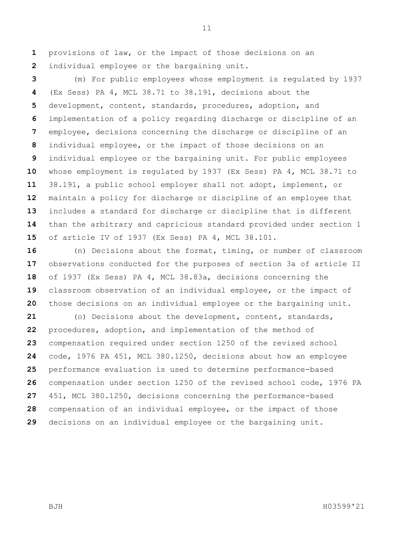provisions of law, or the impact of those decisions on an individual employee or the bargaining unit.

 (m) For public employees whose employment is regulated by 1937 (Ex Sess) PA 4, MCL 38.71 to 38.191, decisions about the development, content, standards, procedures, adoption, and implementation of a policy regarding discharge or discipline of an employee, decisions concerning the discharge or discipline of an individual employee, or the impact of those decisions on an individual employee or the bargaining unit. For public employees whose employment is regulated by 1937 (Ex Sess) PA 4, MCL 38.71 to 38.191, a public school employer shall not adopt, implement, or maintain a policy for discharge or discipline of an employee that includes a standard for discharge or discipline that is different than the arbitrary and capricious standard provided under section 1 of article IV of 1937 (Ex Sess) PA 4, MCL 38.101.

 (n) Decisions about the format, timing, or number of classroom observations conducted for the purposes of section 3a of article II of 1937 (Ex Sess) PA 4, MCL 38.83a, decisions concerning the classroom observation of an individual employee, or the impact of those decisions on an individual employee or the bargaining unit.

 (o) Decisions about the development, content, standards, procedures, adoption, and implementation of the method of compensation required under section 1250 of the revised school code, 1976 PA 451, MCL 380.1250, decisions about how an employee performance evaluation is used to determine performance-based compensation under section 1250 of the revised school code, 1976 PA 451, MCL 380.1250, decisions concerning the performance-based compensation of an individual employee, or the impact of those decisions on an individual employee or the bargaining unit.

BJH H03599'21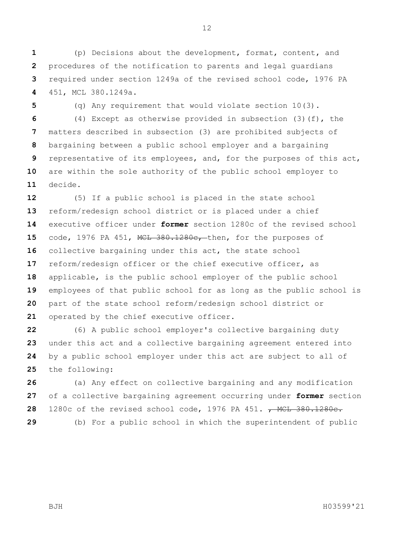(p) Decisions about the development, format, content, and procedures of the notification to parents and legal guardians required under section 1249a of the revised school code, 1976 PA 451, MCL 380.1249a.

 (q) Any requirement that would violate section 10(3). (4) Except as otherwise provided in subsection (3)(f), the matters described in subsection (3) are prohibited subjects of bargaining between a public school employer and a bargaining representative of its employees, and, for the purposes of this act, are within the sole authority of the public school employer to decide.

 (5) If a public school is placed in the state school reform/redesign school district or is placed under a chief executive officer under **former** section 1280c of the revised school code, 1976 PA 451, MCL 380.1280c, then, for the purposes of collective bargaining under this act, the state school reform/redesign officer or the chief executive officer, as applicable, is the public school employer of the public school employees of that public school for as long as the public school is part of the state school reform/redesign school district or operated by the chief executive officer.

 (6) A public school employer's collective bargaining duty under this act and a collective bargaining agreement entered into by a public school employer under this act are subject to all of the following:

 (a) Any effect on collective bargaining and any modification of a collective bargaining agreement occurring under **former** section 1280c of the revised school code, 1976 PA 451. **, MCL 380.1280c.** (b) For a public school in which the superintendent of public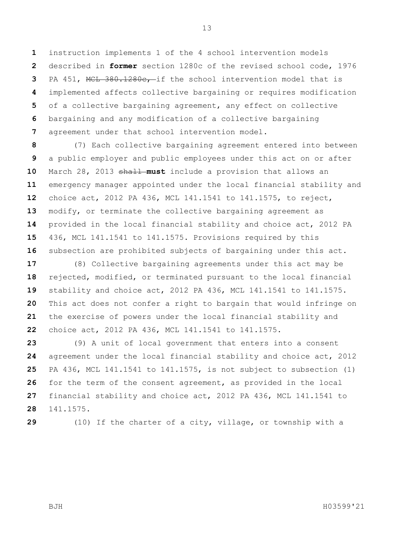instruction implements 1 of the 4 school intervention models described in **former** section 1280c of the revised school code, 1976 PA 451, MCL 380.1280c, if the school intervention model that is implemented affects collective bargaining or requires modification of a collective bargaining agreement, any effect on collective bargaining and any modification of a collective bargaining agreement under that school intervention model.

 (7) Each collective bargaining agreement entered into between a public employer and public employees under this act on or after March 28, 2013 shall **must** include a provision that allows an emergency manager appointed under the local financial stability and choice act, 2012 PA 436, MCL 141.1541 to 141.1575, to reject, modify, or terminate the collective bargaining agreement as provided in the local financial stability and choice act, 2012 PA 436, MCL 141.1541 to 141.1575. Provisions required by this subsection are prohibited subjects of bargaining under this act.

 (8) Collective bargaining agreements under this act may be rejected, modified, or terminated pursuant to the local financial stability and choice act, 2012 PA 436, MCL 141.1541 to 141.1575. This act does not confer a right to bargain that would infringe on the exercise of powers under the local financial stability and choice act, 2012 PA 436, MCL 141.1541 to 141.1575.

 (9) A unit of local government that enters into a consent agreement under the local financial stability and choice act, 2012 PA 436, MCL 141.1541 to 141.1575, is not subject to subsection (1) for the term of the consent agreement, as provided in the local financial stability and choice act, 2012 PA 436, MCL 141.1541 to 141.1575.

(10) If the charter of a city, village, or township with a